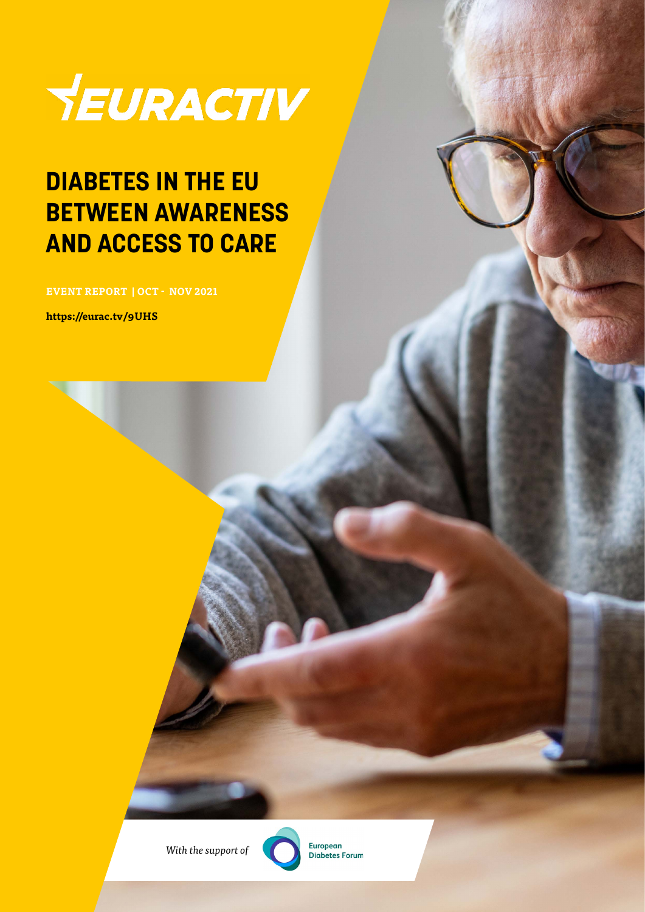

### **DIABETES IN THE EU BETWEEN AWARENESS AND ACCESS TO CARE**

**EVENT REPORT | OCT - NOV 2021**

**https://eurac.tv/9UHS**

*With the support of*



**European** Diabetes Forum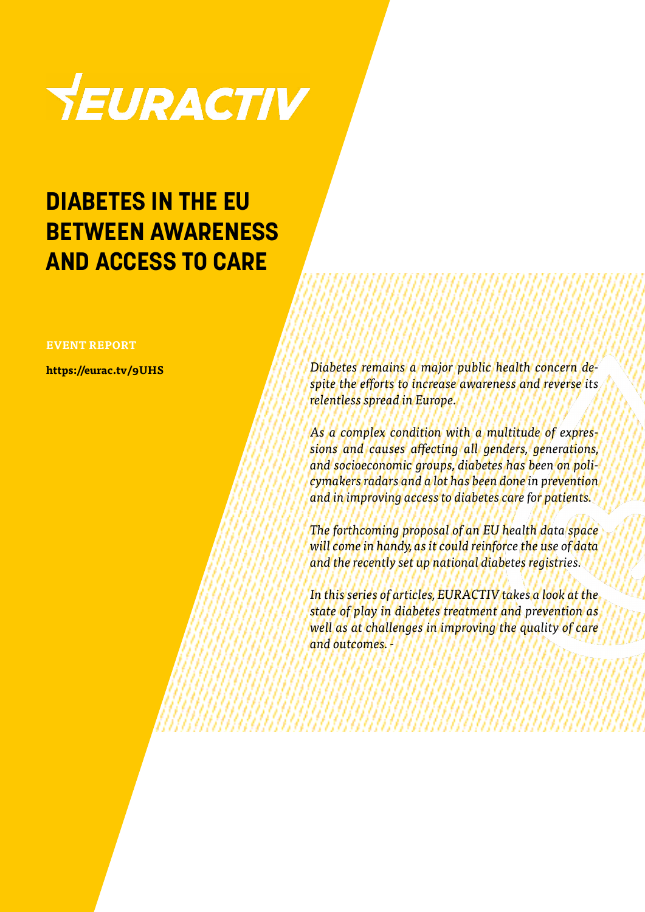

### **DIABETES IN THE EU BETWEEN AWARENESS AND ACCESS TO CARE**

#### **EVENT REPORT**

**https://eurac.tv/9UHS**

*Diabetes remains a major public health concern despite the efforts to increase awareness and reverse its relentless spread in Europe.*

*As a complex condition with a multitude of expressions and causes affecting all genders, generations, and socioeconomic groups, diabetes has been on policymakers radars and a lot has been done in prevention and in improving access to diabetes care for patients.*

*The forthcoming proposal of an EU health data space will come in handy, as it could reinforce the use of data and the recently set up national diabetes registries.*

*In this series of articles, EURACTIV takes a look at the state of play in diabetes treatment and prevention as well as at challenges in improving the quality of care and outcomes. -*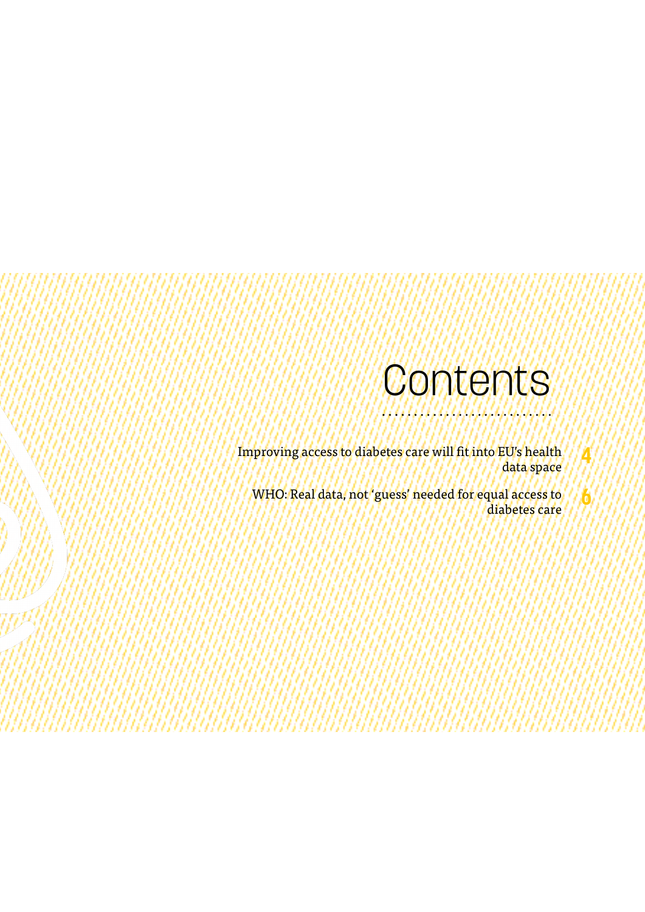## Contents

**4**

**6**

Improving access to diabetes care will fit into EU's health data space

WHO: Real data, not 'guess' needed for equal access to diabetes care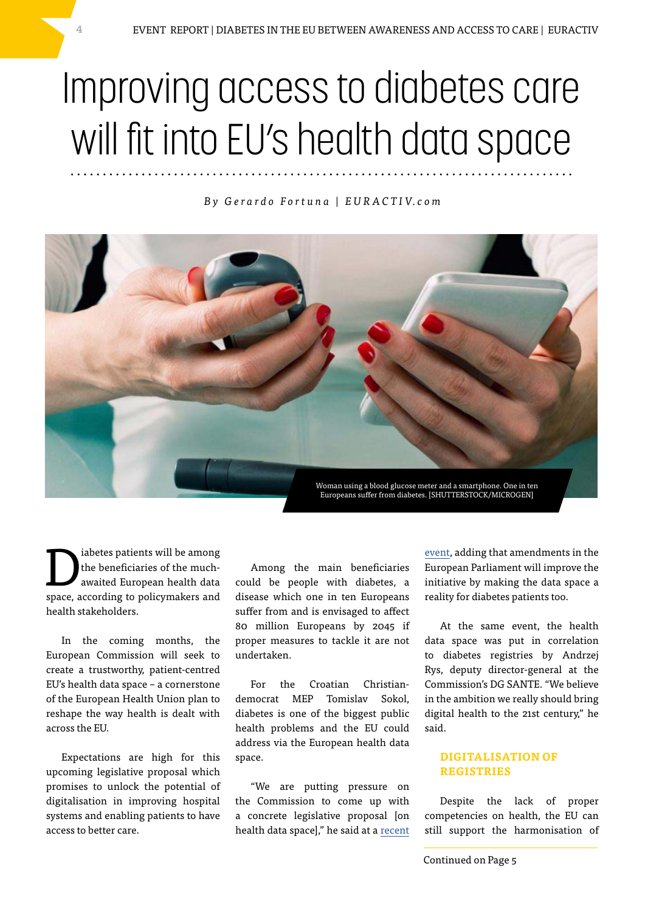# Improving access to diabetes care will fit into EU's health data space

#### *B y G e r a r d o F o r t u n a | E U R A C T I V. c o m*



Indeed a mong<br>
the beneficiaries of the much-<br>
awaited European health data the beneficiaries of the muchspace, according to policymakers and health stakeholders.

In the coming months, the European Commission will seek to create a trustworthy, patient-centred EU's health data space – a cornerstone of the European Health Union plan to reshape the way health is dealt with across the EU.

Expectations are high for this upcoming legislative proposal which promises to unlock the potential of digitalisation in improving hospital systems and enabling patients to have access to better care.

Among the main beneficiaries could be people with diabetes, a disease which one in ten Europeans suffer from and is envisaged to affect 80 million Europeans by 2045 if proper measures to tackle it are not undertaken.

For the Croatian Christiandemocrat MEP Tomislav Sokol, diabetes is one of the biggest public health problems and the EU could address via the European health data space.

"We are putting pressure on the Commission to come up with a concrete legislative proposal [on health data space]," he said at a [recent](https://www.easd.org/eudf-symposium.html)  [event](https://www.easd.org/eudf-symposium.html), adding that amendments in the European Parliament will improve the initiative by making the data space a reality for diabetes patients too.

At the same event, the health data space was put in correlation to diabetes registries by Andrzej Rys, deputy director-general at the Commission's DG SANTE. "We believe in the ambition we really should bring digital health to the 21st century," he said.

#### **DIGITALISATION OF REGISTRIES**

Despite the lack of proper competencies on health, the EU can still support the harmonisation of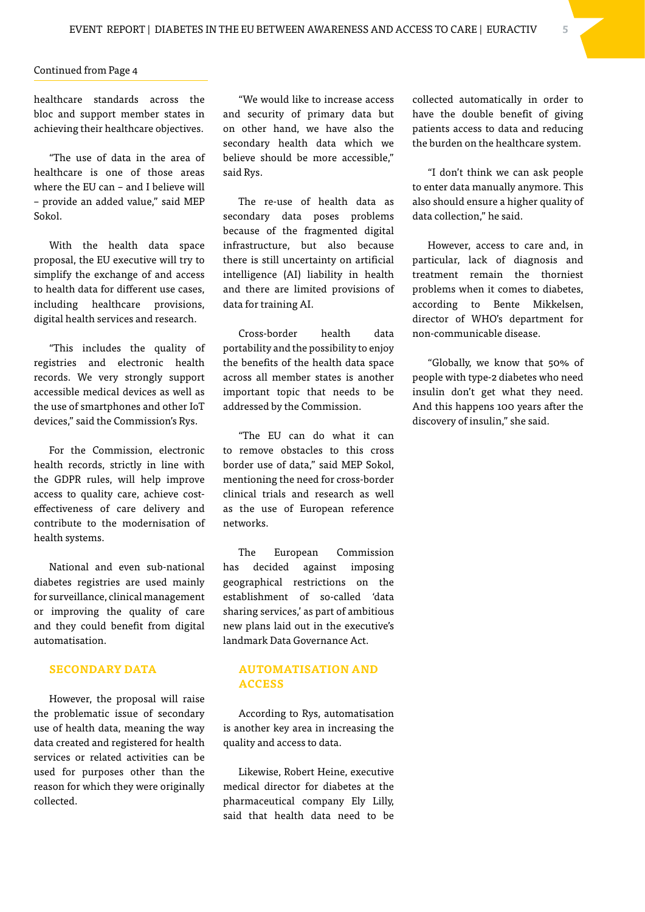#### Continued from Page 4

healthcare standards across the bloc and support member states in achieving their healthcare objectives.

"The use of data in the area of healthcare is one of those areas where the EU can – and I believe will – provide an added value," said MEP Sokol.

With the health data space proposal, the EU executive will try to simplify the exchange of and access to health data for different use cases, including healthcare provisions, digital health services and research.

"This includes the quality of registries and electronic health records. We very strongly support accessible medical devices as well as the use of smartphones and other IoT devices," said the Commission's Rys.

For the Commission, electronic health records, strictly in line with the GDPR rules, will help improve access to quality care, achieve costeffectiveness of care delivery and contribute to the modernisation of health systems.

National and even sub-national diabetes registries are used mainly for surveillance, clinical management or improving the quality of care and they could benefit from digital automatisation.

#### **SECONDARY DATA**

However, the proposal will raise the problematic issue of secondary use of health data, meaning the way data created and registered for health services or related activities can be used for purposes other than the reason for which they were originally collected.

"We would like to increase access and security of primary data but on other hand, we have also the secondary health data which we believe should be more accessible," said Rys.

The re-use of health data as secondary data poses problems because of the fragmented digital infrastructure, but also because there is still uncertainty on artificial intelligence (AI) liability in health and there are limited provisions of data for training AI.

Cross-border health data portability and the possibility to enjoy the benefits of the health data space across all member states is another important topic that needs to be addressed by the Commission.

"The EU can do what it can to remove obstacles to this cross border use of data," said MEP Sokol, mentioning the need for cross-border clinical trials and research as well as the use of European reference networks.

The European Commission has decided against imposing geographical restrictions on the establishment of so-called 'data sharing services,' as part of ambitious new plans laid out in the executive's landmark Data Governance Act.

#### **AUTOMATISATION AND ACCESS**

According to Rys, automatisation is another key area in increasing the quality and access to data.

Likewise, Robert Heine, executive medical director for diabetes at the pharmaceutical company Ely Lilly, said that health data need to be

collected automatically in order to have the double benefit of giving patients access to data and reducing the burden on the healthcare system.

"I don't think we can ask people to enter data manually anymore. This also should ensure a higher quality of data collection," he said.

However, access to care and, in particular, lack of diagnosis and treatment remain the thorniest problems when it comes to diabetes, according to Bente Mikkelsen, director of WHO's department for non-communicable disease.

"Globally, we know that 50% of people with type-2 diabetes who need insulin don't get what they need. And this happens 100 years after the discovery of insulin," she said.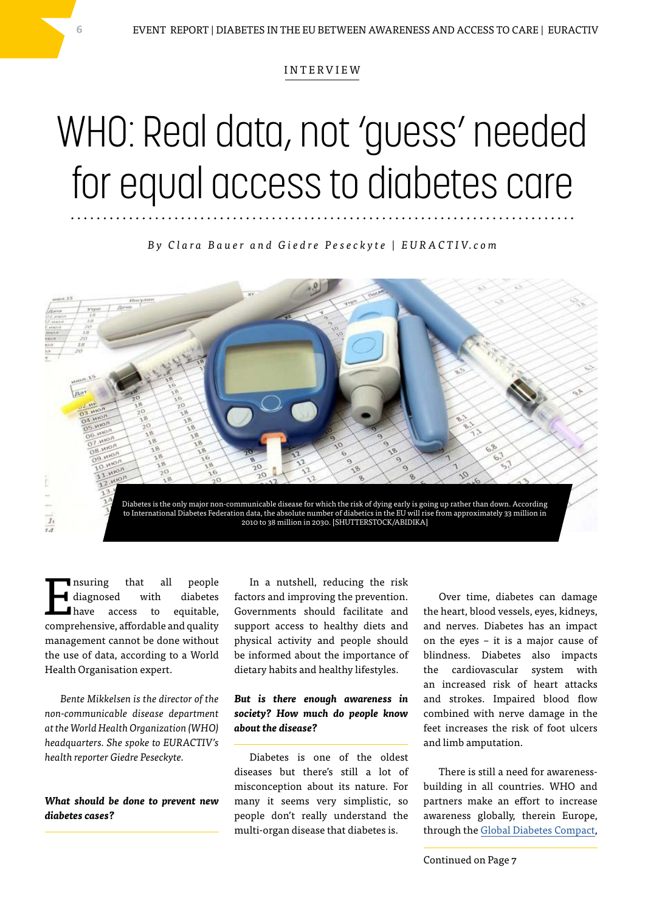#### INTERVIEW

## WHO: Real data, not 'guess' needed for equal access to diabetes care

*B y C l a r a B a u e r a n d G i e d r e P e s e c k y t e | E U R A C T I V. c o m*



Insuring that all people<br>diagnosed with diabetes<br>have access to equitable, diagnosed with diabetes have access to equitable, comprehensive, affordable and quality management cannot be done without the use of data, according to a World Health Organisation expert.

*Bente Mikkelsen is the director of the non-communicable disease department at the World Health Organization (WHO) headquarters. She spoke to EURACTIV's health reporter Giedre Peseckyte.*

#### *What should be done to prevent new diabetes cases?*

In a nutshell, reducing the risk factors and improving the prevention. Governments should facilitate and support access to healthy diets and physical activity and people should be informed about the importance of dietary habits and healthy lifestyles.

#### *But is there enough awareness in society? How much do people know about the disease?*

Diabetes is one of the oldest diseases but there's still a lot of misconception about its nature. For many it seems very simplistic, so people don't really understand the multi-organ disease that diabetes is.

Over time, diabetes can damage the heart, blood vessels, eyes, kidneys, and nerves. Diabetes has an impact on the eyes – it is a major cause of blindness. Diabetes also impacts the cardiovascular system with an increased risk of heart attacks and strokes. Impaired blood flow combined with nerve damage in the feet increases the risk of foot ulcers and limb amputation.

There is still a need for awarenessbuilding in all countries. WHO and partners make an effort to increase awareness globally, therein Europe, through the [Global Diabetes Compact](https://www.who.int/news/item/27-05-2021-new-wha-resolution-to-bring-much-needed-boost-to-diabetes-prevention-and-control-efforts),

Continued on Page 7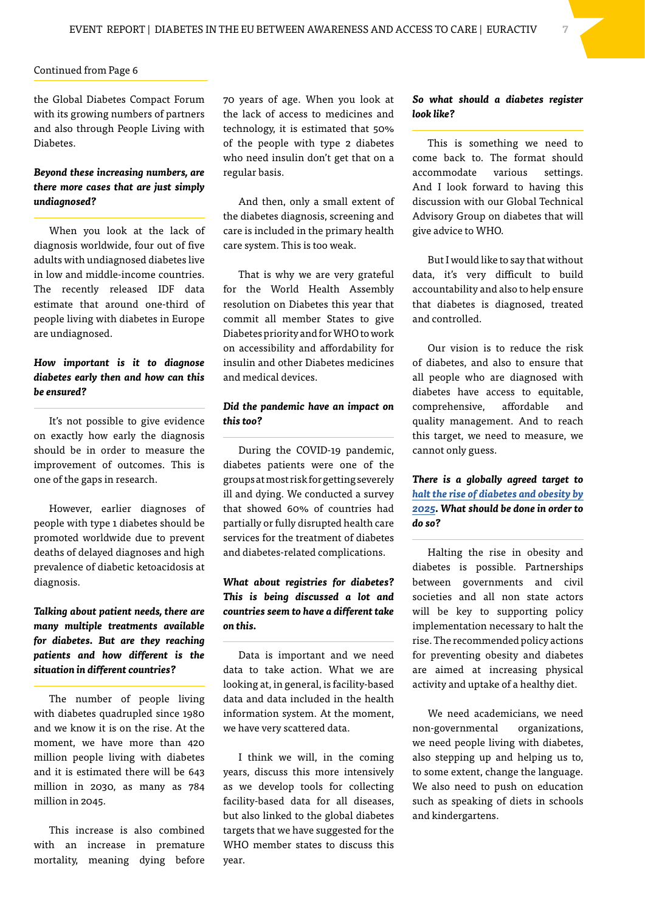#### Continued from Page 6

the Global Diabetes Compact Forum with its growing numbers of partners and also through People Living with Diabetes.

#### *Beyond these increasing numbers, are there more cases that are just simply undiagnosed?*

When you look at the lack of diagnosis worldwide, four out of five adults with undiagnosed diabetes live in low and middle-income countries. The recently released IDF data estimate that around one-third of people living with diabetes in Europe are undiagnosed.

#### *How important is it to diagnose diabetes early then and how can this be ensured?*

It's not possible to give evidence on exactly how early the diagnosis should be in order to measure the improvement of outcomes. This is one of the gaps in research.

However, earlier diagnoses of people with type 1 diabetes should be promoted worldwide due to prevent deaths of delayed diagnoses and high prevalence of diabetic ketoacidosis at diagnosis.

### *Talking about patient needs, there are many multiple treatments available for diabetes. But are they reaching patients and how different is the situation in different countries?*

The number of people living with diabetes quadrupled since 1980 and we know it is on the rise. At the moment, we have more than 420 million people living with diabetes and it is estimated there will be 643 million in 2030, as many as 784 million in 2045.

This increase is also combined with an increase in premature mortality, meaning dying before

70 years of age. When you look at the lack of access to medicines and technology, it is estimated that 50% of the people with type 2 diabetes who need insulin don't get that on a regular basis.

And then, only a small extent of the diabetes diagnosis, screening and care is included in the primary health care system. This is too weak.

That is why we are very grateful for the World Health Assembly resolution on Diabetes this year that commit all member States to give Diabetes priority and for WHO to work on accessibility and affordability for insulin and other Diabetes medicines and medical devices.

#### *Did the pandemic have an impact on this too?*

During the COVID-19 pandemic, diabetes patients were one of the groups at most risk for getting severely ill and dying. We conducted a survey that showed 60% of countries had partially or fully disrupted health care services for the treatment of diabetes and diabetes-related complications.

#### *What about registries for diabetes? This is being discussed a lot and countries seem to have a different take on this.*

Data is important and we need data to take action. What we are looking at, in general, is facility-based data and data included in the health information system. At the moment, we have very scattered data.

I think we will, in the coming years, discuss this more intensively as we develop tools for collecting facility-based data for all diseases, but also linked to the global diabetes targets that we have suggested for the WHO member states to discuss this year.

#### *So what should a diabetes register look like?*

This is something we need to come back to. The format should accommodate various settings. And I look forward to having this discussion with our Global Technical Advisory Group on diabetes that will give advice to WHO.

But I would like to say that without data, it's very difficult to build accountability and also to help ensure that diabetes is diagnosed, treated and controlled.

Our vision is to reduce the risk of diabetes, and also to ensure that all people who are diagnosed with diabetes have access to equitable, comprehensive, affordable and quality management. And to reach this target, we need to measure, we cannot only guess.

#### *There is a globally agreed target to [halt the rise of diabetes and obesity by](https://www.who.int/health-topics/diabetes#tab=tab_1)  [2025](https://www.who.int/health-topics/diabetes#tab=tab_1). What should be done in order to do so?*

Halting the rise in obesity and diabetes is possible. Partnerships between governments and civil societies and all non state actors will be key to supporting policy implementation necessary to halt the rise. The recommended policy actions for preventing obesity and diabetes are aimed at increasing physical activity and uptake of a healthy diet.

We need academicians, we need non-governmental organizations, we need people living with diabetes, also stepping up and helping us to, to some extent, change the language. We also need to push on education such as speaking of diets in schools and kindergartens.